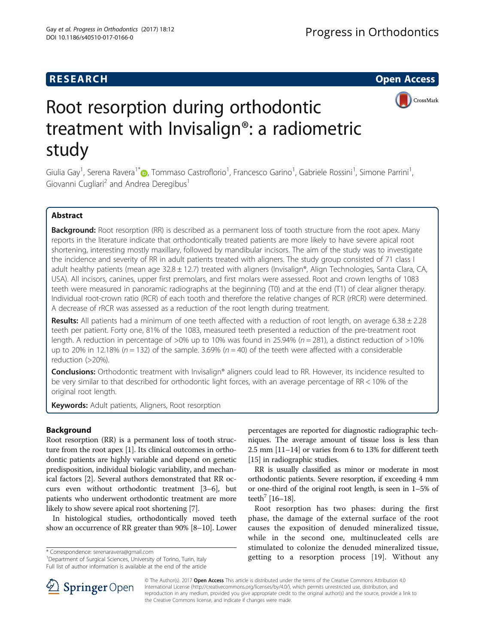## **RESEARCH CHE Open Access**



# Root resorption during orthodontic treatment with Invisalign®: a radiometric study

Giulia Gay<sup>1</sup>, Serena Ravera<sup>1\*</sup>�, Tommaso Castroflorio<sup>1</sup>, Francesco Garino<sup>1</sup>, Gabriele Rossini<sup>1</sup>, Simone Parrini<sup>1</sup> , Giovanni Cugliari<sup>2</sup> and Andrea Deregibus<sup>1</sup>

## Abstract

Background: Root resorption (RR) is described as a permanent loss of tooth structure from the root apex. Many reports in the literature indicate that orthodontically treated patients are more likely to have severe apical root shortening, interesting mostly maxillary, followed by mandibular incisors. The aim of the study was to investigate the incidence and severity of RR in adult patients treated with aligners. The study group consisted of 71 class I adult healthy patients (mean age  $32.8 \pm 12.7$ ) treated with aligners (Invisalign®, Align Technologies, Santa Clara, CA, USA). All incisors, canines, upper first premolars, and first molars were assessed. Root and crown lengths of 1083 teeth were measured in panoramic radiographs at the beginning (T0) and at the end (T1) of clear aligner therapy. Individual root-crown ratio (RCR) of each tooth and therefore the relative changes of RCR (rRCR) were determined. A decrease of rRCR was assessed as a reduction of the root length during treatment.

**Results:** All patients had a minimum of one teeth affected with a reduction of root length, on average  $6.38 \pm 2.28$ teeth per patient. Forty one, 81% of the 1083, measured teeth presented a reduction of the pre-treatment root length. A reduction in percentage of >0% up to 10% was found in 25.94% ( $n = 281$ ), a distinct reduction of >10% up to 20% in 12.18% ( $n = 132$ ) of the sample. 3.69% ( $n = 40$ ) of the teeth were affected with a considerable reduction (>20%).

Conclusions: Orthodontic treatment with Invisalign® aligners could lead to RR. However, its incidence resulted to be very similar to that described for orthodontic light forces, with an average percentage of RR < 10% of the original root length.

**Keywords:** Adult patients, Aligners, Root resorption

## Background

Root resorption (RR) is a permanent loss of tooth structure from the root apex [[1\]](#page-5-0). Its clinical outcomes in orthodontic patients are highly variable and depend on genetic predisposition, individual biologic variability, and mechanical factors [[2\]](#page-5-0). Several authors demonstrated that RR occurs even without orthodontic treatment [\[3](#page-5-0)–[6\]](#page-5-0), but patients who underwent orthodontic treatment are more likely to show severe apical root shortening [\[7](#page-5-0)].

In histological studies, orthodontically moved teeth show an occurrence of RR greater than 90% [\[8](#page-5-0)–[10\]](#page-5-0). Lower

<sup>1</sup>Department of Surgical Sciences, University of Torino, Turin, Italy Full list of author information is available at the end of the article

percentages are reported for diagnostic radiographic techniques. The average amount of tissue loss is less than 2.5 mm [\[11](#page-5-0)–[14](#page-5-0)] or varies from 6 to 13% for different teeth [[15](#page-5-0)] in radiographic studies.

RR is usually classified as minor or moderate in most orthodontic patients. Severe resorption, if exceeding 4 mm or one-third of the original root length, is seen in 1–5% of teeth<sup>7</sup> [\[16](#page-5-0)–[18\]](#page-5-0).

Root resorption has two phases: during the first phase, the damage of the external surface of the root causes the exposition of denuded mineralized tissue, while in the second one, multinucleated cells are stimulated to colonize the denuded mineralized tissue, \* Correspondence: [serenaravera@gmail.com](mailto:serenaravera@gmail.com) and the resorption of the servence with the correspondence: serenaravera@gmail.com 1.<br>
<sup>1</sup>Department of Surgical Sciences, University of Torino, Turin, Italy **1. and 1. and 1. and 1** 



© The Author(s). 2017 **Open Access** This article is distributed under the terms of the Creative Commons Attribution 4.0 International License ([http://creativecommons.org/licenses/by/4.0/\)](http://creativecommons.org/licenses/by/4.0/), which permits unrestricted use, distribution, and reproduction in any medium, provided you give appropriate credit to the original author(s) and the source, provide a link to the Creative Commons license, and indicate if changes were made.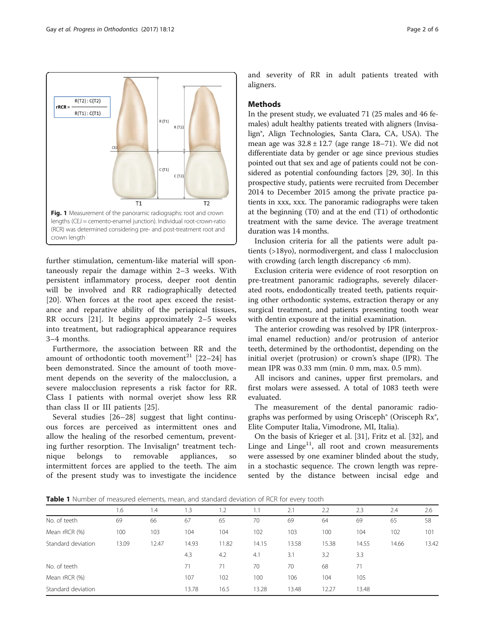<span id="page-1-0"></span>

further stimulation, cementum-like material will spontaneously repair the damage within 2–3 weeks. With persistent inflammatory process, deeper root dentin will be involved and RR radiographically detected [[20\]](#page-5-0). When forces at the root apex exceed the resistance and reparative ability of the periapical tissues, RR occurs [[21\]](#page-5-0). It begins approximately 2–5 weeks into treatment, but radiographical appearance requires 3–4 months.

Furthermore, the association between RR and the amount of orthodontic tooth movement<sup>21</sup> [\[22](#page-5-0)–[24\]](#page-5-0) has been demonstrated. Since the amount of tooth movement depends on the severity of the malocclusion, a severe malocclusion represents a risk factor for RR. Class I patients with normal overjet show less RR than class II or III patients [\[25](#page-5-0)].

Several studies [[26](#page-5-0)–[28\]](#page-5-0) suggest that light continuous forces are perceived as intermittent ones and allow the healing of the resorbed cementum, preventing further resorption. The Invisalign® treatment technique belongs to removable appliances, so intermittent forces are applied to the teeth. The aim of the present study was to investigate the incidence and severity of RR in adult patients treated with aligners.

#### **Methods**

In the present study, we evaluated 71 (25 males and 46 females) adult healthy patients treated with aligners (Invisalign®, Align Technologies, Santa Clara, CA, USA). The mean age was  $32.8 \pm 12.7$  (age range 18–71). We did not differentiate data by gender or age since previous studies pointed out that sex and age of patients could not be considered as potential confounding factors [\[29, 30](#page-5-0)]. In this prospective study, patients were recruited from December 2014 to December 2015 among the private practice patients in xxx, xxx. The panoramic radiographs were taken at the beginning (T0) and at the end (T1) of orthodontic treatment with the same device. The average treatment duration was 14 months.

Inclusion criteria for all the patients were adult patients (>18yo), normodivergent, and class I malocclusion with crowding (arch length discrepancy <6 mm).

Exclusion criteria were evidence of root resorption on pre-treatment panoramic radiographs, severely dilacerated roots, endodontically treated teeth, patients requiring other orthodontic systems, extraction therapy or any surgical treatment, and patients presenting tooth wear with dentin exposure at the initial examination.

The anterior crowding was resolved by IPR (interproximal enamel reduction) and/or protrusion of anterior teeth, determined by the orthodontist, depending on the initial overjet (protrusion) or crown's shape (IPR). The mean IPR was 0.33 mm (min. 0 mm, max. 0.5 mm).

All incisors and canines, upper first premolars, and first molars were assessed. A total of 1083 teeth were evaluated.

The measurement of the dental panoramic radiographs was performed by using Orisceph® (Orisceph Rx®, Elite Computer Italia, Vimodrone, MI, Italia).

On the basis of Krieger et al. [[31](#page-5-0)], Fritz et al. [\[32\]](#page-5-0), and Linge and Linge<sup>11</sup>, all root and crown measurements were assessed by one examiner blinded about the study, in a stochastic sequence. The crown length was represented by the distance between incisal edge and

**Table 1** Number of measured elements, mean, and standard deviation of RCR for every tooth

|                    | 1.6   | 1.4   | 1.3   | 1.2   | 1.1   | 2.1   | 2.2   | 2.3   | 2.4   | 2.6   |
|--------------------|-------|-------|-------|-------|-------|-------|-------|-------|-------|-------|
| No. of teeth       | 69    | 66    | 67    | 65    | 70    | 69    | 64    | 69    | 65    | 58    |
| Mean rRCR (%)      | 100   | 103   | 104   | 104   | 102   | 103   | 100   | 104   | 102   | 101   |
| Standard deviation | 13.09 | 12.47 | 14.93 | 11.82 | 14.15 | 13.58 | 15.38 | 14.55 | 14.66 | 13.42 |
|                    |       |       | 4.3   | 4.2   | 4.1   | 3.1   | 3.2   | 3.3   |       |       |
| No. of teeth       |       |       | 71    | 71    | 70    | 70    | 68    | 71    |       |       |
| Mean rRCR (%)      |       |       | 107   | 102   | 100   | 106   | 104   | 105   |       |       |
| Standard deviation |       |       | 13.78 | 16.5  | 13.28 | 13.48 | 12.27 | 13.48 |       |       |
|                    |       |       |       |       |       |       |       |       |       |       |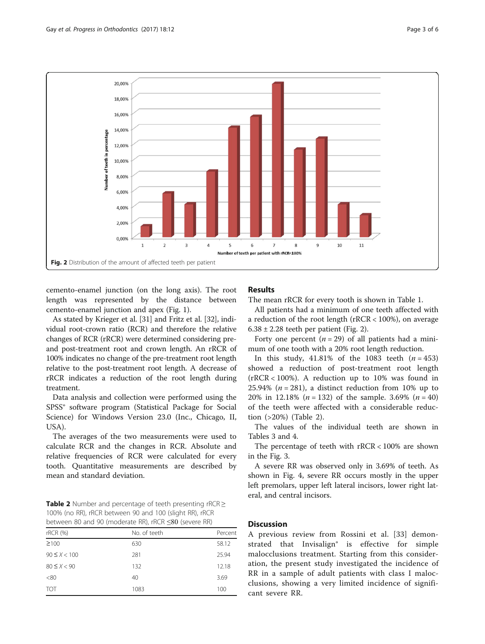

cemento-enamel junction (on the long axis). The root length was represented by the distance between cemento-enamel junction and apex (Fig. [1\)](#page-1-0).

As stated by Krieger et al. [\[31\]](#page-5-0) and Fritz et al. [[32\]](#page-5-0), individual root-crown ratio (RCR) and therefore the relative changes of RCR (rRCR) were determined considering preand post-treatment root and crown length. An rRCR of 100% indicates no change of the pre-treatment root length relative to the post-treatment root length. A decrease of rRCR indicates a reduction of the root length during treatment.

Data analysis and collection were performed using the SPSS® software program (Statistical Package for Social Science) for Windows Version 23.0 (Inc., Chicago, II, USA).

The averages of the two measurements were used to calculate RCR and the changes in RCR. Absolute and relative frequencies of RCR were calculated for every tooth. Quantitative measurements are described by mean and standard deviation.

Table 2 Number and percentage of teeth presenting  $rRCR \geq$ 100% (no RR), rRCR between 90 and 100 (slight RR), rRCR between 80 and 90 (moderate RR), rRCR ≤80 (severe RR)

| rRCR (%)         | No. of teeth | Percent |  |  |  |  |  |
|------------------|--------------|---------|--|--|--|--|--|
| $\geq 100$       | 630          | 58.12   |  |  |  |  |  |
| $90 \le X < 100$ | 281          | 25.94   |  |  |  |  |  |
| $80 \le X < 90$  | 132          | 12.18   |  |  |  |  |  |
| <80              | 40           | 3.69    |  |  |  |  |  |
| <b>TOT</b>       | 1083         | 100     |  |  |  |  |  |

## Results

The mean rRCR for every tooth is shown in Table [1.](#page-1-0)

All patients had a minimum of one teeth affected with a reduction of the root length (rRCR < 100%), on average  $6.38 \pm 2.28$  teeth per patient (Fig. 2).

Forty one percent  $(n = 29)$  of all patients had a minimum of one tooth with a 20% root length reduction.

In this study,  $41.81\%$  of the 1083 teeth  $(n = 453)$ showed a reduction of post-treatment root length (rRCR < 100%). A reduction up to 10% was found in 25.94% ( $n = 281$ ), a distinct reduction from 10% up to 20% in 12.18% ( $n = 132$ ) of the sample. 3.69% ( $n = 40$ ) of the teeth were affected with a considerable reduction (>20%) (Table 2).

The values of the individual teeth are shown in Tables [3](#page-3-0) and [4](#page-3-0).

The percentage of teeth with rRCR < 100% are shown in the Fig. [3.](#page-4-0)

A severe RR was observed only in 3.69% of teeth. As shown in Fig. [4](#page-4-0), severe RR occurs mostly in the upper left premolars, upper left lateral incisors, lower right lateral, and central incisors.

## **Discussion**

A previous review from Rossini et al. [[33\]](#page-5-0) demonstrated that Invisalign® is effective for simple malocclusions treatment. Starting from this consideration, the present study investigated the incidence of RR in a sample of adult patients with class I malocclusions, showing a very limited incidence of significant severe RR.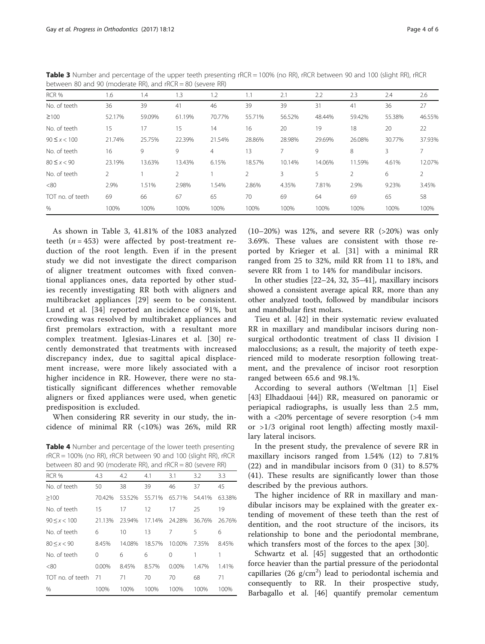| between op and so finoderate implana ment |               |        |                |        |                |        |        |                |        |                |
|-------------------------------------------|---------------|--------|----------------|--------|----------------|--------|--------|----------------|--------|----------------|
| RCR %                                     | 1.6           | 1.4    | 1.3            | 1.2    | 1.1            | 2.1    | 2.2    | 2.3            | 2.4    | 2.6            |
| No. of teeth                              | 36            | 39     | 41             | 46     | 39             | 39     | 31     | 41             | 36     | 27             |
| $\geq 100$                                | 52.17%        | 59.09% | 61.19%         | 70.77% | 55.71%         | 56.52% | 48.44% | 59.42%         | 55.38% | 46.55%         |
| No. of teeth                              | 15            | 17     | 15             | 14     | 16             | 20     | 19     | 18             | 20     | 22             |
| $90 \le x < 100$                          | 21.74%        | 25.75% | 22.39%         | 21.54% | 28.86%         | 28.98% | 29.69% | 26.08%         | 30.77% | 37.93%         |
| No. of teeth                              | 16            | 9      | 9              | 4      | 13             |        | 9      | 8              | 3.     |                |
| $80 \le x < 90$                           | 23.19%        | 13.63% | 13.43%         | 6.15%  | 18.57%         | 10.14% | 14.06% | 11.59%         | 4.61%  | 12.07%         |
| No. of teeth                              | $\mathcal{P}$ |        | $\mathfrak{D}$ |        | $\overline{2}$ | 3      | 5      | $\overline{2}$ | 6      | $\mathfrak{D}$ |
| <80                                       | 2.9%          | 1.51%  | 2.98%          | 1.54%  | 2.86%          | 4.35%  | 7.81%  | 2.9%           | 9.23%  | 3.45%          |
| TOT no. of teeth                          | 69            | 66     | 67             | 65     | 70             | 69     | 64     | 69             | 65     | 58             |
| $\%$                                      | 100%          | 100%   | 100%           | 100%   | 100%           | 100%   | 100%   | 100%           | 100%   | 100%           |

<span id="page-3-0"></span>Table 3 Number and percentage of the upper teeth presenting rRCR = 100% (no RR), rRCR between 90 and 100 (slight RR), rRCR between 80 and 90 (moderate RR), and rRCR = 80 (severe RR)

As shown in Table 3, 41.81% of the 1083 analyzed teeth  $(n = 453)$  were affected by post-treatment reduction of the root length. Even if in the present study we did not investigate the direct comparison of aligner treatment outcomes with fixed conventional appliances ones, data reported by other studies recently investigating RR both with aligners and multibracket appliances [[29\]](#page-5-0) seem to be consistent. Lund et al. [[34](#page-5-0)] reported an incidence of 91%, but crowding was resolved by multibraket appliances and first premolars extraction, with a resultant more complex treatment. Iglesias-Linares et al. [[30](#page-5-0)] recently demonstrated that treatments with increased discrepancy index, due to sagittal apical displacement increase, were more likely associated with a higher incidence in RR. However, there were no statistically significant differences whether removable aligners or fixed appliances were used, when genetic predisposition is excluded.

When considering RR severity in our study, the incidence of minimal RR (<10%) was 26%, mild RR

Table 4 Number and percentage of the lower teeth presenting rRCR = 100% (no RR), rRCR between 90 and 100 (slight RR), rRCR between 80 and 90 (moderate RR), and rRCR = 80 (severe RR)

| RCR %            | 4.3      | 4.2    | 4.1    | 3.1      | 3.2    | 3.3    |
|------------------|----------|--------|--------|----------|--------|--------|
| No. of teeth     | 50       | 38     | 39     | 46       | 37     | 45     |
| $\geq 100$       | 70.42%   | 53.52% | 55.71% | 65.71%   | 54.41% | 63.38% |
| No. of teeth     | 15       | 17     | 12     | 17       | 25     | 19     |
| $90 \le x < 100$ | 21.13%   | 23.94% | 17.14% | 24.28%   | 36.76% | 26.76% |
| No. of teeth     | 6        | 10     | 13     | 7        | 5      | 6      |
| 80 < x < 90      | 8.45%    | 14.08% | 18.57% | 10.00%   | 7.35%  | 8.45%  |
| No. of teeth     | $\Omega$ | 6      | 6      | 0        |        |        |
| <80              | $0.00\%$ | 8.45%  | 8.57%  | $0.00\%$ | 1.47%  | 1.41%  |
| TOT no. of teeth | 71       | 71     | 70     | 70       | 68     | 71     |
| $\frac{0}{0}$    | 100%     | 100%   | 100%   | 100%     | 100%   | 100%   |
|                  |          |        |        |          |        |        |

(10–20%) was 12%, and severe RR (>20%) was only 3.69%. These values are consistent with those reported by Krieger et al. [[31\]](#page-5-0) with a minimal RR ranged from 25 to 32%, mild RR from 11 to 18%, and severe RR from 1 to 14% for mandibular incisors.

In other studies [\[22](#page-5-0)–[24, 32](#page-5-0), [35](#page-5-0)–[41](#page-5-0)], maxillary incisors showed a consistent average apical RR, more than any other analyzed tooth, followed by mandibular incisors and mandibular first molars.

Tieu et al. [[42\]](#page-5-0) in their systematic review evaluated RR in maxillary and mandibular incisors during nonsurgical orthodontic treatment of class II division I malocclusions; as a result, the majority of teeth experienced mild to moderate resorption following treatment, and the prevalence of incisor root resorption ranged between 65.6 and 98.1%.

According to several authors (Weltman [\[1](#page-5-0)] Eisel [[43\]](#page-5-0) Elhaddaoui [\[44](#page-5-0)]) RR, measured on panoramic or periapical radiographs, is usually less than 2.5 mm, with a <20% percentage of severe resorption (>4 mm or >1/3 original root length) affecting mostly maxillary lateral incisors.

In the present study, the prevalence of severe RR in maxillary incisors ranged from 1.54% (12) to 7.81% (22) and in mandibular incisors from 0 (31) to 8.57% (41). These results are significantly lower than those described by the previous authors.

The higher incidence of RR in maxillary and mandibular incisors may be explained with the greater extending of movement of these teeth than the rest of dentition, and the root structure of the incisors, its relationship to bone and the periodontal membrane, which transfers most of the forces to the apex [[30\]](#page-5-0).

Schwartz et al. [[45\]](#page-5-0) suggested that an orthodontic force heavier than the partial pressure of the periodontal capillaries (26  $g/cm<sup>2</sup>$ ) lead to periodontal ischemia and consequently to RR. In their prospective study, Barbagallo et al. [\[46](#page-5-0)] quantify premolar cementum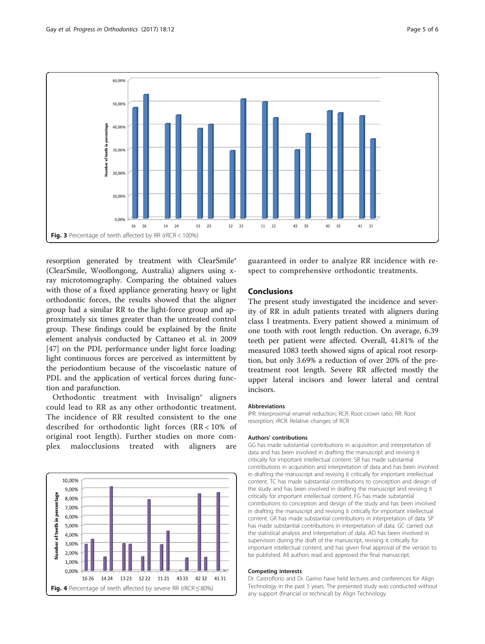<span id="page-4-0"></span>

resorption generated by treatment with ClearSmile® (ClearSmile, Woollongong, Australia) aligners using xray microtomography. Comparing the obtained values with those of a fixed appliance generating heavy or light orthodontic forces, the results showed that the aligner group had a similar RR to the light-force group and approximately six times greater than the untreated control group. These findings could be explained by the finite element analysis conducted by Cattaneo et al. in 2009 [[47\]](#page-5-0) on the PDL performance under light force loading: light continuous forces are perceived as intermittent by the periodontium because of the viscoelastic nature of PDL and the application of vertical forces during function and parafunction.

Orthodontic treatment with Invisalign® aligners could lead to RR as any other orthodontic treatment. The incidence of RR resulted consistent to the one described for orthodontic light forces (RR < 10% of original root length). Further studies on more complex malocclusions treated with aligners are



guaranteed in order to analyze RR incidence with respect to comprehensive orthodontic treatments.

## Conclusions

The present study investigated the incidence and severity of RR in adult patients treated with aligners during class I treatments. Every patient showed a minimum of one tooth with root length reduction. On average, 6.39 teeth per patient were affected. Overall, 41.81% of the measured 1083 teeth showed signs of apical root resorption, but only 3.69% a reduction of over 20% of the pretreatment root length. Severe RR affected mostly the upper lateral incisors and lower lateral and central incisors.

#### Abbreviations

IPR: Interproximal enamel reduction; RCR: Root-crown ratio; RR: Root resorption; rRCR: Relative changes of RCR

#### Authors' contributions

GG has made substantial contributions in acquisition and interpretation of data and has been involved in drafting the manuscript and revising it critically for important intellectual content. SR has made substantial contributions in acquisition and interpretation of data and has been involved in drafting the manuscript and revising it critically for important intellectual content. TC has made substantial contributions to conception and design of the study and has been involved in drafting the manuscript and revising it critically for important intellectual content. FG has made substantial contributions to conception and design of the study and has been involved in drafting the manuscript and revising it critically for important intellectual content. GR has made substantial contributions in interpretation of data. SP has made substantial contributions in interpretation of data. GC carried out the statistical analysis and interpretation of data. AD has been involved in supervision during the draft of the manuscript, revising it critically for important intellectual content, and has given final approval of the version to be published. All authors read and approved the final manuscript.

#### Competing interests

Dr. Castroflorio and Dr. Garino have held lectures and conferences for Align Technology in the past 5 years. The presented study was conducted without any support (financial or technical) by Align Technology.